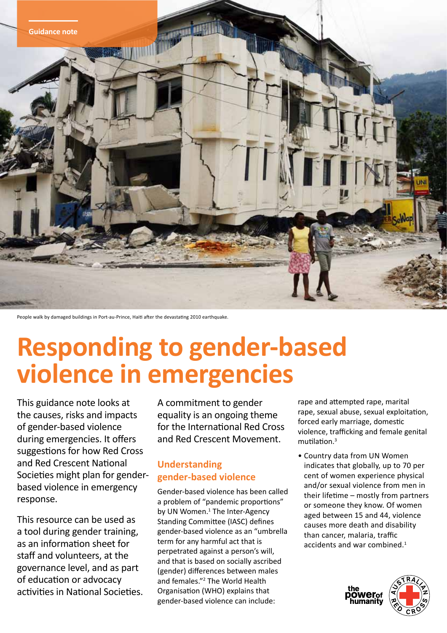

People walk by damaged buildings in Port-au-Prince, Haiti after the devastating 2010 earthquake.

# **Responding to gender-based violence in emergencies**

This guidance note looks at the causes, risks and impacts of gender-based violence during emergencies. It offers suggestions for how Red Cross and Red Crescent National Societies might plan for genderbased violence in emergency response.

This resource can be used as a tool during gender training, as an information sheet for staff and volunteers, at the governance level, and as part of education or advocacy activities in National Societies. A commitment to gender equality is an ongoing theme for the International Red Cross and Red Crescent Movement.

# **Understanding gender-based violence**

Gender-based violence has been called a problem of "pandemic proportions" by UN Women.<sup>1</sup> The Inter-Agency Standing Committee (IASC) defines gender-based violence as an "umbrella term for any harmful act that is perpetrated against a person's will, and that is based on socially ascribed (gender) differences between males and females."<sup>2</sup> The World Health Organisation (WHO) explains that gender-based violence can include:

rape and attempted rape, marital rape, sexual abuse, sexual exploitation, forced early marriage, domestic violence, trafficking and female genital mutilation.<sup>3</sup>

• Country data from UN Women indicates that globally, up to 70 per cent of women experience physical and/or sexual violence from men in their lifetime – mostly from partners or someone they know. Of women aged between 15 and 44, violence causes more death and disability than cancer, malaria, traffic accidents and war combined.<sup>1</sup>

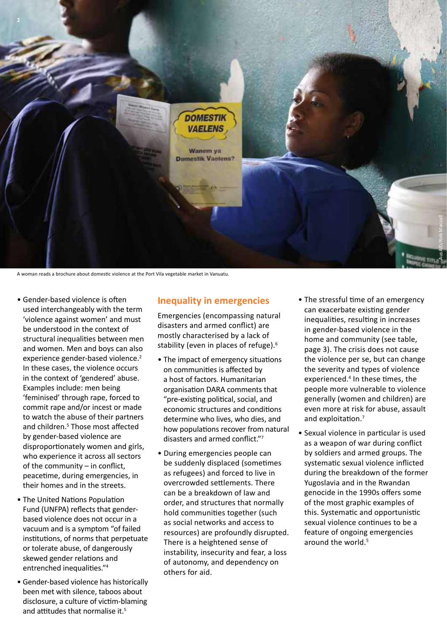

A woman reads a brochure about domestic violence at the Port Vila vegetable market in Vanuatu.

- Gender-based violence is often used interchangeably with the term 'violence against women' and must be understood in the context of structural inequalities between men and women. Men and boys can also experience gender-based violence.<sup>2</sup> In these cases, the violence occurs in the context of 'gendered' abuse. Examples include: men being 'feminised' through rape, forced to commit rape and/or incest or made to watch the abuse of their partners and children.<sup>5</sup> Those most affected by gender-based violence are disproportionately women and girls, who experience it across all sectors of the community – in conflict, peacetime, during emergencies, in their homes and in the streets.
- The United Nations Population Fund (UNFPA) reflects that genderbased violence does not occur in a vacuum and is a symptom "of failed institutions, of norms that perpetuate or tolerate abuse, of dangerously skewed gender relations and entrenched inequalities."<sup>4</sup>
- Gender-based violence has historically been met with silence, taboos about disclosure, a culture of victim-blaming and attitudes that normalise it.<sup>5</sup>

## **Inequality in emergencies**

Emergencies (encompassing natural disasters and armed conflict) are mostly characterised by a lack of stability (even in places of refuge).<sup>6</sup>

- The impact of emergency situations on communities is affected by a host of factors. Humanitarian organisation DARA comments that "pre-existing political, social, and economic structures and conditions determine who lives, who dies, and how populations recover from natural disasters and armed conflict."<sup>7</sup>
- During emergencies people can be suddenly displaced (sometimes as refugees) and forced to live in overcrowded settlements. There can be a breakdown of law and order, and structures that normally hold communities together (such as social networks and access to resources) are profoundly disrupted. There is a heightened sense of instability, insecurity and fear, a loss of autonomy, and dependency on others for aid.
- The stressful time of an emergency can exacerbate existing gender inequalities, resulting in increases in gender-based violence in the home and community (see table, page 3). The crisis does not cause the violence per se, but can change the severity and types of violence experienced.<sup>4</sup> In these times, the people more vulnerable to violence generally (women and children) are even more at risk for abuse, assault and exploitation.<sup>7</sup>
- Sexual violence in particular is used as a weapon of war during conflict by soldiers and armed groups. The systematic sexual violence inflicted during the breakdown of the former Yugoslavia and in the Rwandan genocide in the 1990s offers some of the most graphic examples of this. Systematic and opportunistic sexual violence continues to be a feature of ongoing emergencies around the world.5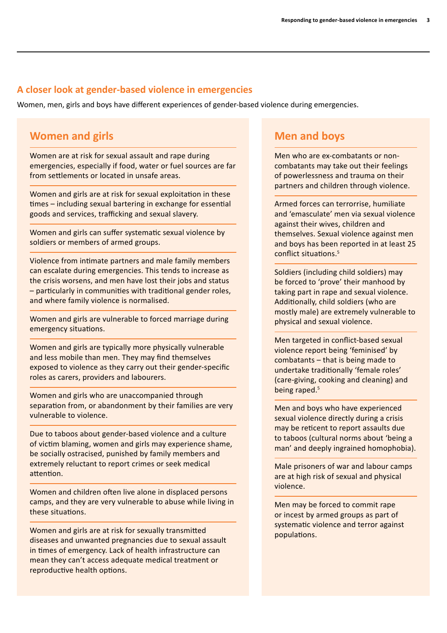## **A closer look at gender-based violence in emergencies**

Women, men, girls and boys have different experiences of gender-based violence during emergencies.

# **Women and girls**

Women are at risk for sexual assault and rape during emergencies, especially if food, water or fuel sources are far from settlements or located in unsafe areas.

Women and girls are at risk for sexual exploitation in these times – including sexual bartering in exchange for essential goods and services, trafficking and sexual slavery.

Women and girls can suffer systematic sexual violence by soldiers or members of armed groups.

Violence from intimate partners and male family members can escalate during emergencies. This tends to increase as the crisis worsens, and men have lost their jobs and status – particularly in communities with traditional gender roles, and where family violence is normalised.

Women and girls are vulnerable to forced marriage during emergency situations.

Women and girls are typically more physically vulnerable and less mobile than men. They may find themselves exposed to violence as they carry out their gender-specific roles as carers, providers and labourers.

Women and girls who are unaccompanied through separation from, or abandonment by their families are very vulnerable to violence.

Due to taboos about gender-based violence and a culture of victim blaming, women and girls may experience shame, be socially ostracised, punished by family members and extremely reluctant to report crimes or seek medical attention.

Women and children often live alone in displaced persons camps, and they are very vulnerable to abuse while living in these situations.

Women and girls are at risk for sexually transmitted diseases and unwanted pregnancies due to sexual assault in times of emergency. Lack of health infrastructure can mean they can't access adequate medical treatment or reproductive health options.

# **Men and boys**

Men who are ex-combatants or noncombatants may take out their feelings of powerlessness and trauma on their partners and children through violence.

Armed forces can terrorrise, humiliate and 'emasculate' men via sexual violence against their wives, children and themselves. Sexual violence against men and boys has been reported in at least 25 conflict situations.5

Soldiers (including child soldiers) may be forced to 'prove' their manhood by taking part in rape and sexual violence. Additionally, child soldiers (who are mostly male) are extremely vulnerable to physical and sexual violence.

Men targeted in conflict-based sexual violence report being 'feminised' by combatants – that is being made to undertake traditionally 'female roles' (care-giving, cooking and cleaning) and being raped.<sup>5</sup>

Men and boys who have experienced sexual violence directly during a crisis may be reticent to report assaults due to taboos (cultural norms about 'being a man' and deeply ingrained homophobia).

Male prisoners of war and labour camps are at high risk of sexual and physical violence.

Men may be forced to commit rape or incest by armed groups as part of systematic violence and terror against populations.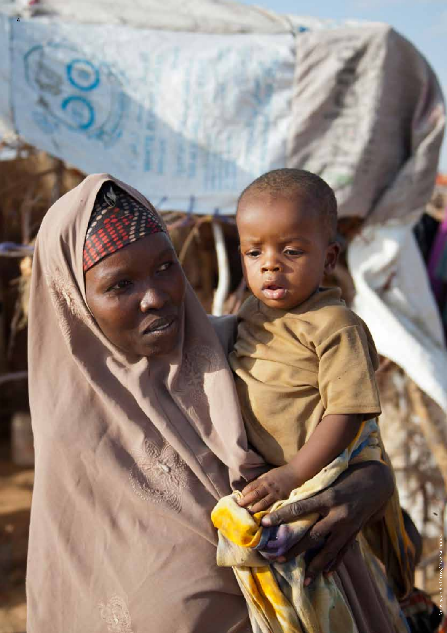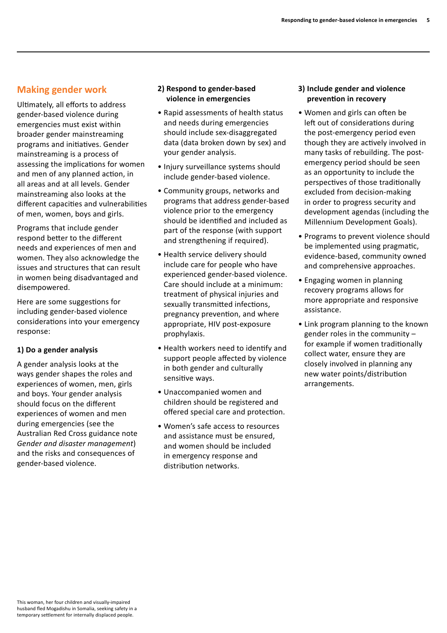# **Making gender work**

Ultimately, all efforts to address gender-based violence during emergencies must exist within broader gender mainstreaming programs and initiatives. Gender mainstreaming is a process of assessing the implications for women and men of any planned action, in all areas and at all levels. Gender mainstreaming also looks at the different capacities and vulnerabilities of men, women, boys and girls.

Programs that include gender respond better to the different needs and experiences of men and women. They also acknowledge the issues and structures that can result in women being disadvantaged and disempowered.

Here are some suggestions for including gender-based violence considerations into your emergency response:

## **1) Do a gender analysis**

A gender analysis looks at the ways gender shapes the roles and experiences of women, men, girls and boys. Your gender analysis should focus on the different experiences of women and men during emergencies (see the Australian Red Cross guidance note *Gender and disaster management*) and the risks and consequences of gender-based violence.

### **2) Respond to gender-based violence in emergencies**

- Rapid assessments of health status and needs during emergencies should include sex-disaggregated data (data broken down by sex) and your gender analysis.
- Injury surveillance systems should include gender-based violence.
- Community groups, networks and programs that address gender-based violence prior to the emergency should be identified and included as part of the response (with support and strengthening if required).
- Health service delivery should include care for people who have experienced gender-based violence. Care should include at a minimum: treatment of physical injuries and sexually transmitted infections, pregnancy prevention, and where appropriate, HIV post-exposure prophylaxis.
- Health workers need to identify and support people affected by violence in both gender and culturally sensitive ways.
- Unaccompanied women and children should be registered and offered special care and protection.
- Women's safe access to resources and assistance must be ensured, and women should be included in emergency response and distribution networks.

## **3) Include gender and violence prevention in recovery**

- Women and girls can often be left out of considerations during the post-emergency period even though they are actively involved in many tasks of rebuilding. The postemergency period should be seen as an opportunity to include the perspectives of those traditionally excluded from decision-making in order to progress security and development agendas (including the Millennium Development Goals).
- Programs to prevent violence should be implemented using pragmatic, evidence-based, community owned and comprehensive approaches.
- Engaging women in planning recovery programs allows for more appropriate and responsive assistance.
- Link program planning to the known gender roles in the community – for example if women traditionally collect water, ensure they are closely involved in planning any new water points/distribution arrangements.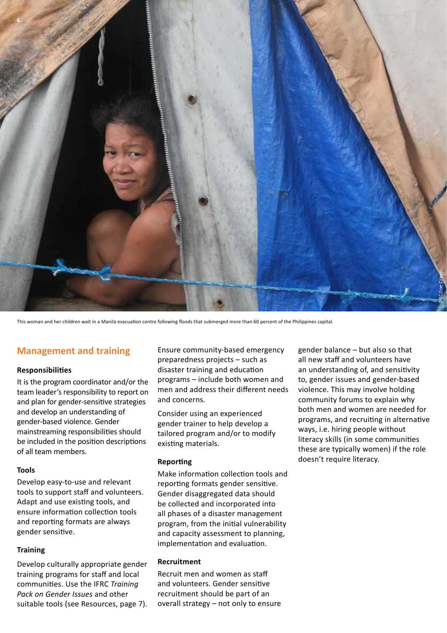

This woman and her children wait in a Manila evacuation centre following floods that submerged more than 60 percent of the Philippines capital.

# **Management and training**

#### **Responsibilities**

It is the program coordinator and/or the team leader's responsibility to report on and plan for gender-sensitive strategies and develop an understanding of gender-based violence. Gender mainstreaming responsibilities should be included in the position descriptions of all team members.

#### **Tools**

Develop easy-to-use and relevant tools to support staff and volunteers. Adapt and use existing tools, and ensure information collection tools and reporting formats are always gender sensitive.

#### **Training**

Develop culturally appropriate gender training programs for staff and local communities. Use the IFRC *Training Pack on Gender Issues* and other suitable tools (see Resources, page 7).

Ensure community-based emergency preparedness projects – such as disaster training and education programs – include both women and men and address their different needs and concerns.

Consider using an experienced gender trainer to help develop a tailored program and/or to modify existing materials.

#### **Reporting**

Make information collection tools and reporting formats gender sensitive. Gender disaggregated data should be collected and incorporated into all phases of a disaster management program, from the initial vulnerability and capacity assessment to planning, implementation and evaluation.

#### **Recruitment**

Recruit men and women as staff and volunteers. Gender sensitive recruitment should be part of an overall strategy – not only to ensure gender balance – but also so that all new staff and volunteers have an understanding of, and sensitivity to, gender issues and gender-based violence. This may involve holding community forums to explain why both men and women are needed for programs, and recruiting in alternative ways, i.e. hiring people without literacy skills (in some communities these are typically women) if the role doesn't require literacy.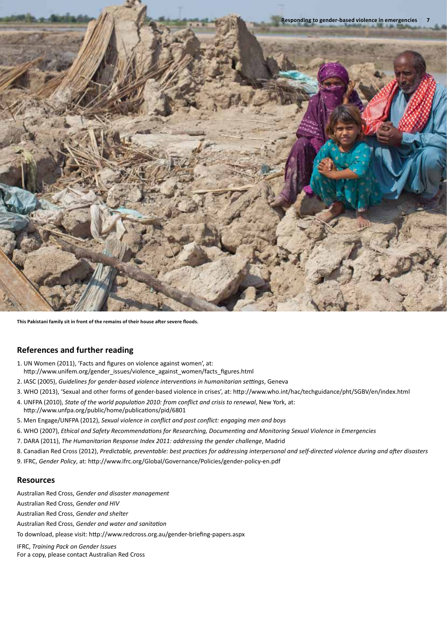

**This Pakistani family sit in front of the remains of their house after severe floods.** 

#### **References and further reading**

- 1. UN Women (2011), 'Facts and figures on violence against women', at: http://www.unifem.org/gender\_issues/violence\_against\_women/facts\_figures.html
- 2. IASC (2005), *Guidelines for gender-based violence interventions in humanitarian settings*, Geneva
- 3. WHO (2013), 'Sexual and other forms of gender-based violence in crises', at: http://www.who.int/hac/techguidance/pht/SGBV/en/index.html
- 4. UNFPA (2010), *State of the world population 2010: from conflict and crisis to renewal*, New York, at: http://www.unfpa.org/public/home/publications/pid/6801
- 5. Men Engage/UNFPA (2012), *Sexual violence in conflict and post conflict: engaging men and boys*
- 6. WHO (2007), *Ethical and Safety Recommendations for Researching, Documenting and Monitoring Sexual Violence in Emergencies*
- 7. DARA (2011), *The Humanitarian Response Index 2011: addressing the gender challenge*, Madrid
- 8. Canadian Red Cross (2012), *Predictable, preventable: best practices for addressing interpersonal and self-directed violence during and after disasters*
- 9. IFRC, *Gender Policy*, at: http://www.ifrc.org/Global/Governance/Policies/gender-policy-en.pdf

#### **Resources**

Australian Red Cross, *Gender and disaster management*

Australian Red Cross, *Gender and HIV*

Australian Red Cross, *Gender and shelter*

Australian Red Cross, *Gender and water and sanitation*

To download, please visit: http://www.redcross.org.au/gender-briefing-papers.aspx

IFRC, *Training Pack on Gender Issues* For a copy, please contact Australian Red Cross